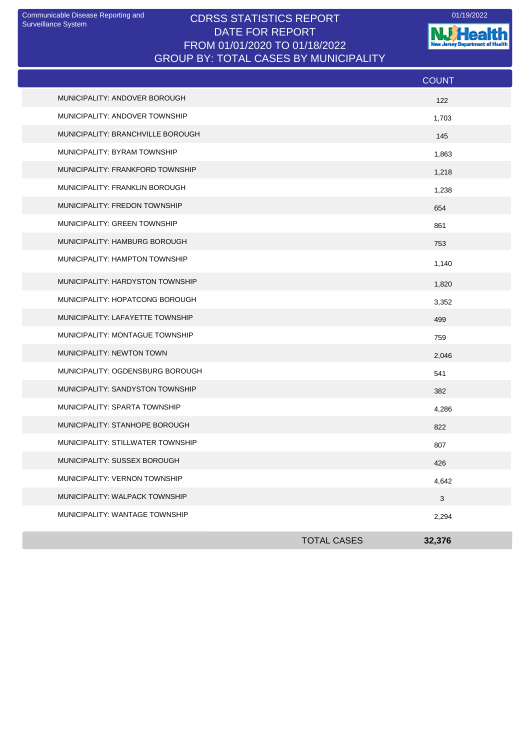## CDRSS STATISTICS REPORT Communicable Disease Reporting and 01/19/2022 DATE FOR REPORT FROM 01/01/2020 TO 01/18/2022 GROUP BY: TOTAL CASES BY MUNICIPALITY

**NJ Health** 

|                                   |                    | <b>COUNT</b> |
|-----------------------------------|--------------------|--------------|
| MUNICIPALITY: ANDOVER BOROUGH     |                    | 122          |
| MUNICIPALITY: ANDOVER TOWNSHIP    |                    | 1,703        |
| MUNICIPALITY: BRANCHVILLE BOROUGH |                    | 145          |
| MUNICIPALITY: BYRAM TOWNSHIP      |                    | 1,863        |
| MUNICIPALITY: FRANKFORD TOWNSHIP  |                    | 1,218        |
| MUNICIPALITY: FRANKLIN BOROUGH    |                    | 1,238        |
| MUNICIPALITY: FREDON TOWNSHIP     |                    | 654          |
| MUNICIPALITY: GREEN TOWNSHIP      |                    | 861          |
| MUNICIPALITY: HAMBURG BOROUGH     |                    | 753          |
| MUNICIPALITY: HAMPTON TOWNSHIP    |                    | 1,140        |
| MUNICIPALITY: HARDYSTON TOWNSHIP  |                    | 1,820        |
| MUNICIPALITY: HOPATCONG BOROUGH   |                    | 3,352        |
| MUNICIPALITY: LAFAYETTE TOWNSHIP  |                    | 499          |
| MUNICIPALITY: MONTAGUE TOWNSHIP   |                    | 759          |
| MUNICIPALITY: NEWTON TOWN         |                    | 2,046        |
| MUNICIPALITY: OGDENSBURG BOROUGH  |                    | 541          |
| MUNICIPALITY: SANDYSTON TOWNSHIP  |                    | 382          |
| MUNICIPALITY: SPARTA TOWNSHIP     |                    | 4,286        |
| MUNICIPALITY: STANHOPE BOROUGH    |                    | 822          |
| MUNICIPALITY: STILLWATER TOWNSHIP |                    | 807          |
| MUNICIPALITY: SUSSEX BOROUGH      |                    | 426          |
| MUNICIPALITY: VERNON TOWNSHIP     |                    | 4,642        |
| MUNICIPALITY: WALPACK TOWNSHIP    |                    | $\mathbf{3}$ |
| MUNICIPALITY: WANTAGE TOWNSHIP    |                    | 2,294        |
|                                   | <b>TOTAL CASES</b> | 32,376       |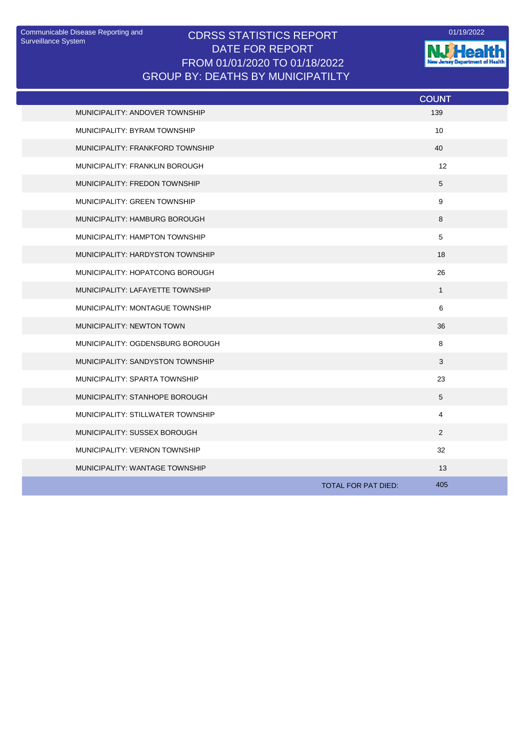## Communicable Disease Reporting and CDRSS STATISTICS REPORT <sup>01/19/2022</sup><br>Surveillance System CDRSS STATISTICS REPORT DATE FOR REPORT FROM 01/01/2020 TO 01/18/2022 GROUP BY: DEATHS BY MUNICIPATILTY



|                                       | <b>COUNT</b>               |
|---------------------------------------|----------------------------|
| MUNICIPALITY: ANDOVER TOWNSHIP        | 139                        |
| MUNICIPALITY: BYRAM TOWNSHIP          | 10                         |
| MUNICIPALITY: FRANKFORD TOWNSHIP      | 40                         |
| <b>MUNICIPALITY: FRANKLIN BOROUGH</b> | 12                         |
| MUNICIPALITY: FREDON TOWNSHIP         | 5                          |
| MUNICIPALITY: GREEN TOWNSHIP          | 9                          |
| MUNICIPALITY: HAMBURG BOROUGH         | 8                          |
| MUNICIPALITY: HAMPTON TOWNSHIP        | 5                          |
| MUNICIPALITY: HARDYSTON TOWNSHIP      | 18                         |
| MUNICIPALITY: HOPATCONG BOROUGH       | 26                         |
| MUNICIPALITY: LAFAYETTE TOWNSHIP      | $\mathbf{1}$               |
| MUNICIPALITY: MONTAGUE TOWNSHIP       | 6                          |
| <b>MUNICIPALITY: NEWTON TOWN</b>      | 36                         |
| MUNICIPALITY: OGDENSBURG BOROUGH      | 8                          |
| MUNICIPALITY: SANDYSTON TOWNSHIP      | 3                          |
| MUNICIPALITY: SPARTA TOWNSHIP         | 23                         |
| MUNICIPALITY: STANHOPE BOROUGH        | 5                          |
| MUNICIPALITY: STILLWATER TOWNSHIP     | $\overline{4}$             |
| MUNICIPALITY: SUSSEX BOROUGH          | 2                          |
| MUNICIPALITY: VERNON TOWNSHIP         | 32                         |
| MUNICIPALITY: WANTAGE TOWNSHIP        | 13                         |
|                                       | 405<br>TOTAL FOR PAT DIED: |